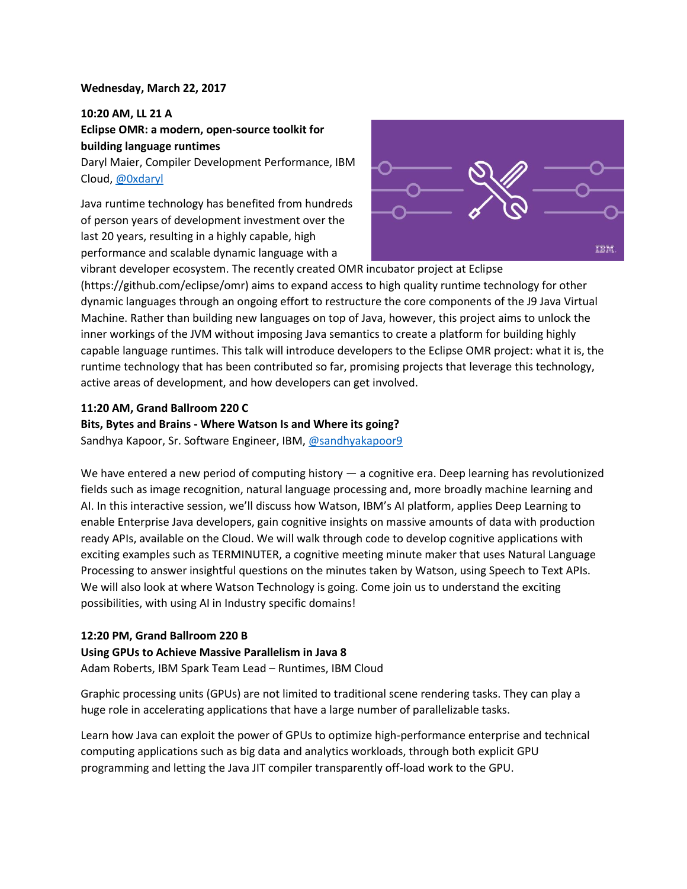### **Wednesday, March 22, 2017**

**10:20 AM, LL 21 A Eclipse OMR: a modern, open-source toolkit for building language runtimes**

Daryl Maier, Compiler Development Performance, IBM Cloud, [@0xdaryl](https://twitter.com/0xdaryl)

Java runtime technology has benefited from hundreds of person years of development investment over the last 20 years, resulting in a highly capable, high performance and scalable dynamic language with a



vibrant developer ecosystem. The recently created OMR incubator project at Eclipse (https://github.com/eclipse/omr) aims to expand access to high quality runtime technology for other dynamic languages through an ongoing effort to restructure the core components of the J9 Java Virtual Machine. Rather than building new languages on top of Java, however, this project aims to unlock the inner workings of the JVM without imposing Java semantics to create a platform for building highly capable language runtimes. This talk will introduce developers to the Eclipse OMR project: what it is, the runtime technology that has been contributed so far, promising projects that leverage this technology, active areas of development, and how developers can get involved.

### **11:20 AM, Grand Ballroom 220 C**

**Bits, Bytes and Brains - Where Watson Is and Where its going?**

Sandhya Kapoor, Sr. Software Engineer, IBM, [@sandhyakapoor9](https://twitter.com/sandhyakapoor9)

We have entered a new period of computing history — a cognitive era. Deep learning has revolutionized fields such as image recognition, natural language processing and, more broadly machine learning and AI. In this interactive session, we'll discuss how Watson, IBM's AI platform, applies Deep Learning to enable Enterprise Java developers, gain cognitive insights on massive amounts of data with production ready APIs, available on the Cloud. We will walk through code to develop cognitive applications with exciting examples such as TERMINUTER, a cognitive meeting minute maker that uses Natural Language Processing to answer insightful questions on the minutes taken by Watson, using Speech to Text APIs. We will also look at where Watson Technology is going. Come join us to understand the exciting possibilities, with using AI in Industry specific domains!

# **12:20 PM, Grand Ballroom 220 B**

# **Using GPUs to Achieve Massive Parallelism in Java 8**

Adam Roberts, IBM Spark Team Lead – Runtimes, IBM Cloud

Graphic processing units (GPUs) are not limited to traditional scene rendering tasks. They can play a huge role in accelerating applications that have a large number of parallelizable tasks.

Learn how Java can exploit the power of GPUs to optimize high-performance enterprise and technical computing applications such as big data and analytics workloads, through both explicit GPU programming and letting the Java JIT compiler transparently off-load work to the GPU.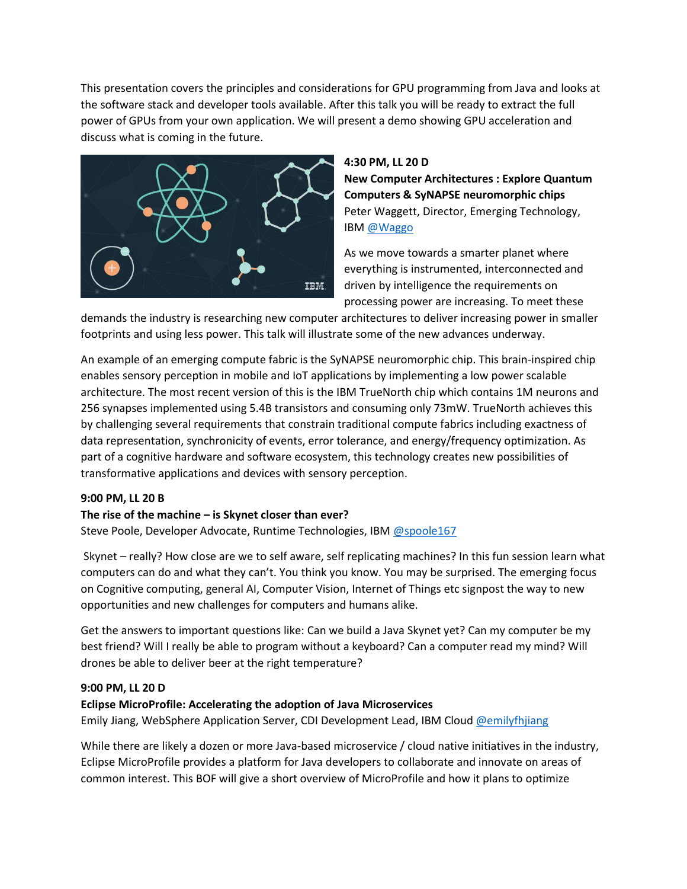This presentation covers the principles and considerations for GPU programming from Java and looks at the software stack and developer tools available. After this talk you will be ready to extract the full power of GPUs from your own application. We will present a demo showing GPU acceleration and discuss what is coming in the future.



# **4:30 PM, LL 20 D**

**New Computer Architectures : Explore Quantum Computers & SyNAPSE neuromorphic chips** Peter Waggett, Director, Emerging Technology, IBM [@Waggo](https://twitter.com/waggo?lang=en)

As we move towards a smarter planet where everything is instrumented, interconnected and driven by intelligence the requirements on processing power are increasing. To meet these

demands the industry is researching new computer architectures to deliver increasing power in smaller footprints and using less power. This talk will illustrate some of the new advances underway.

An example of an emerging compute fabric is the SyNAPSE neuromorphic chip. This brain-inspired chip enables sensory perception in mobile and IoT applications by implementing a low power scalable architecture. The most recent version of this is the IBM TrueNorth chip which contains 1M neurons and 256 synapses implemented using 5.4B transistors and consuming only 73mW. TrueNorth achieves this by challenging several requirements that constrain traditional compute fabrics including exactness of data representation, synchronicity of events, error tolerance, and energy/frequency optimization. As part of a cognitive hardware and software ecosystem, this technology creates new possibilities of transformative applications and devices with sensory perception.

# **9:00 PM, LL 20 B**

# **The rise of the machine – is Skynet closer than ever?**

Steve Poole, Developer Advocate, Runtime Technologies, IBM [@spoole167](https://twitter.com/spoole167)

Skynet – really? How close are we to self aware, self replicating machines? In this fun session learn what computers can do and what they can't. You think you know. You may be surprised. The emerging focus on Cognitive computing, general AI, Computer Vision, Internet of Things etc signpost the way to new opportunities and new challenges for computers and humans alike.

Get the answers to important questions like: Can we build a Java Skynet yet? Can my computer be my best friend? Will I really be able to program without a keyboard? Can a computer read my mind? Will drones be able to deliver beer at the right temperature?

# **9:00 PM, LL 20 D**

# **Eclipse MicroProfile: Accelerating the adoption of Java Microservices**

Emily Jiang, WebSphere Application Server, CDI Development Lead, IBM Cloud [@emilyfhjiang](https://twitter.com/emilyfhjiang)

While there are likely a dozen or more Java-based microservice / cloud native initiatives in the industry, Eclipse MicroProfile provides a platform for Java developers to collaborate and innovate on areas of common interest. This BOF will give a short overview of MicroProfile and how it plans to optimize